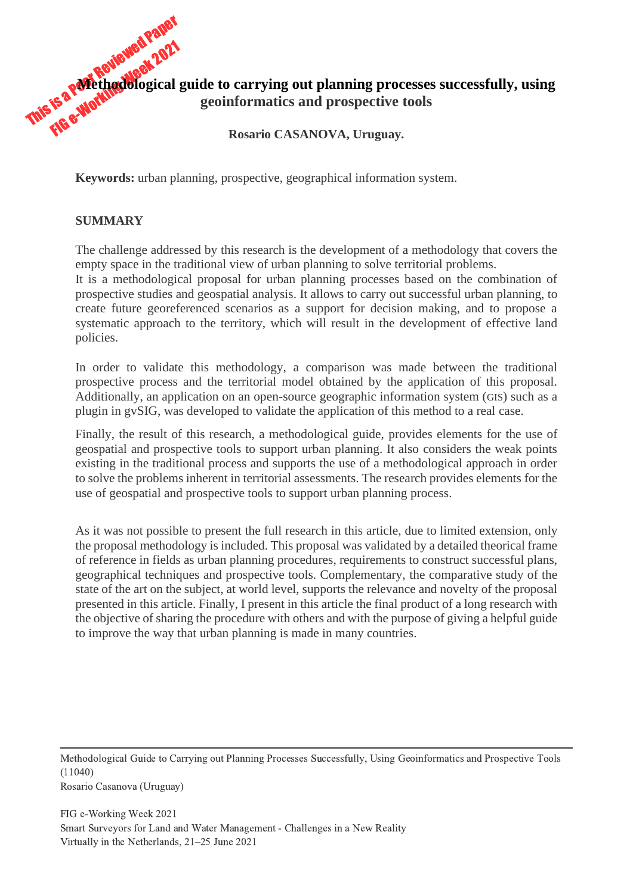

**Keywords:** urban planning, prospective, geographical information system.

#### **SUMMARY**

policies.

The challenge addressed by this research is the development of a methodology that covers the empty space in the traditional view of urban planning to solve territorial problems. It is a methodological proposal for urban planning processes based on the combination of prospective studies and geospatial analysis. It allows to carry out successful urban planning, to create future georeferenced scenarios as a support for decision making, and to propose a systematic approach to the territory, which will result in the development of effective land

In order to validate this methodology, a comparison was made between the traditional prospective process and the territorial model obtained by the application of this proposal. Additionally, an application on an open-source geographic information system (GIS) such as a plugin in gvSIG, was developed to validate the application of this method to a real case.

Finally, the result of this research, a methodological guide, provides elements for the use of geospatial and prospective tools to support urban planning. It also considers the weak points existing in the traditional process and supports the use of a methodological approach in order to solve the problems inherent in territorial assessments. The research provides elements for the use of geospatial and prospective tools to support urban planning process.

As it was not possible to present the full research in this article, due to limited extension, only the proposal methodology is included. This proposal was validated by a detailed theorical frame of reference in fields as urban planning procedures, requirements to construct successful plans, geographical techniques and prospective tools. Complementary, the comparative study of the state of the art on the subject, at world level, supports the relevance and novelty of the proposal presented in this article. Finally, I present in this article the final product of a long research with the objective of sharing the procedure with others and with the purpose of giving a helpful guide to improve the way that urban planning is made in many countries.

Methodological Guide to Carrying out Planning Processes Successfully, Using Geoinformatics and Prospective Tools (11040) Rosario Casanova (Uruguay)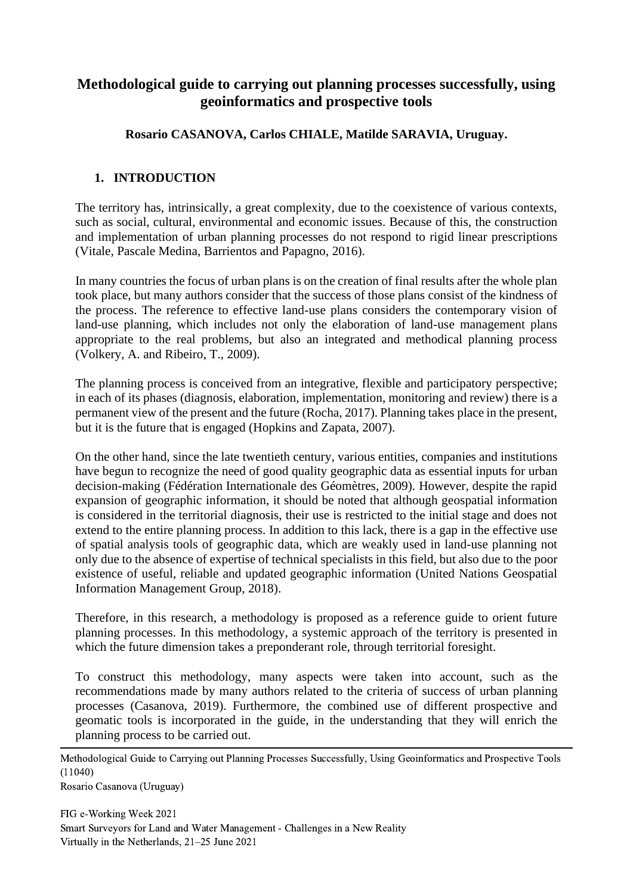# **Methodological guide to carrying out planning processes successfully, using geoinformatics and prospective tools**

## **Rosario CASANOVA, Carlos CHIALE, Matilde SARAVIA, Uruguay.**

## **1. INTRODUCTION**

The territory has, intrinsically, a great complexity, due to the coexistence of various contexts, such as social, cultural, environmental and economic issues. Because of this, the construction and implementation of urban planning processes do not respond to rigid linear prescriptions (Vitale, Pascale Medina, Barrientos and Papagno, 2016).

In many countries the focus of urban plans is on the creation of final results after the whole plan took place, but many authors consider that the success of those plans consist of the kindness of the process. The reference to effective land-use plans considers the contemporary vision of land-use planning, which includes not only the elaboration of land-use management plans appropriate to the real problems, but also an integrated and methodical planning process (Volkery, A. and Ribeiro, T., 2009).

The planning process is conceived from an integrative, flexible and participatory perspective; in each of its phases (diagnosis, elaboration, implementation, monitoring and review) there is a permanent view of the present and the future (Rocha, 2017). Planning takes place in the present, but it is the future that is engaged (Hopkins and Zapata, 2007).

On the other hand, since the late twentieth century, various entities, companies and institutions have begun to recognize the need of good quality geographic data as essential inputs for urban decision-making (Fédération Internationale des Géomètres, 2009). However, despite the rapid expansion of geographic information, it should be noted that although geospatial information is considered in the territorial diagnosis, their use is restricted to the initial stage and does not extend to the entire planning process. In addition to this lack, there is a gap in the effective use of spatial analysis tools of geographic data, which are weakly used in land-use planning not only due to the absence of expertise of technical specialists in this field, but also due to the poor existence of useful, reliable and updated geographic information (United Nations Geospatial Information Management Group, 2018).

Therefore, in this research, a methodology is proposed as a reference guide to orient future planning processes. In this methodology, a systemic approach of the territory is presented in which the future dimension takes a preponderant role, through territorial foresight.

To construct this methodology, many aspects were taken into account, such as the recommendations made by many authors related to the criteria of success of urban planning processes (Casanova, 2019). Furthermore, the combined use of different prospective and geomatic tools is incorporated in the guide, in the understanding that they will enrich the planning process to be carried out.

Methodological Guide to Carrying out Planning Processes Successfully, Using Geoinformatics and Prospective Tools (11040)

Rosario Casanova (Uruguay)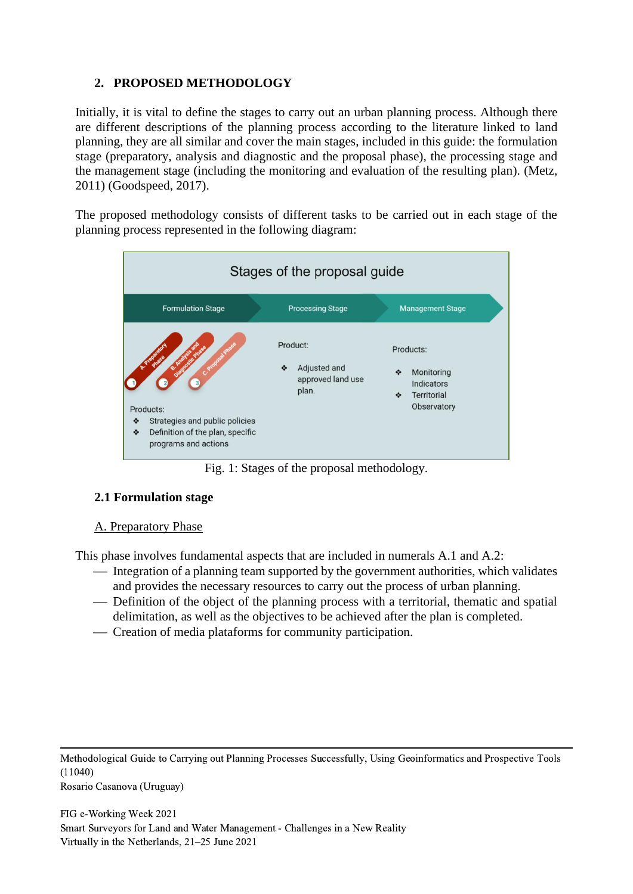## **2. PROPOSED METHODOLOGY**

Initially, it is vital to define the stages to carry out an urban planning process. Although there are different descriptions of the planning process according to the literature linked to land planning, they are all similar and cover the main stages, included in this guide: the formulation stage (preparatory, analysis and diagnostic and the proposal phase), the processing stage and the management stage (including the monitoring and evaluation of the resulting plan). (Metz, 2011) (Goodspeed, 2017).

The proposed methodology consists of different tasks to be carried out in each stage of the planning process represented in the following diagram:



Fig. 1: Stages of the proposal methodology.

## **2.1 Formulation stage**

## A. Preparatory Phase

This phase involves fundamental aspects that are included in numerals A.1 and A.2:

- ⎯ Integration of a planning team supported by the government authorities, which validates and provides the necessary resources to carry out the process of urban planning.
- Definition of the object of the planning process with a territorial, thematic and spatial delimitation, as well as the objectives to be achieved after the plan is completed.
- Creation of media plataforms for community participation.

Methodological Guide to Carrying out Planning Processes Successfully, Using Geoinformatics and Prospective Tools (11040) Rosario Casanova (Uruguay)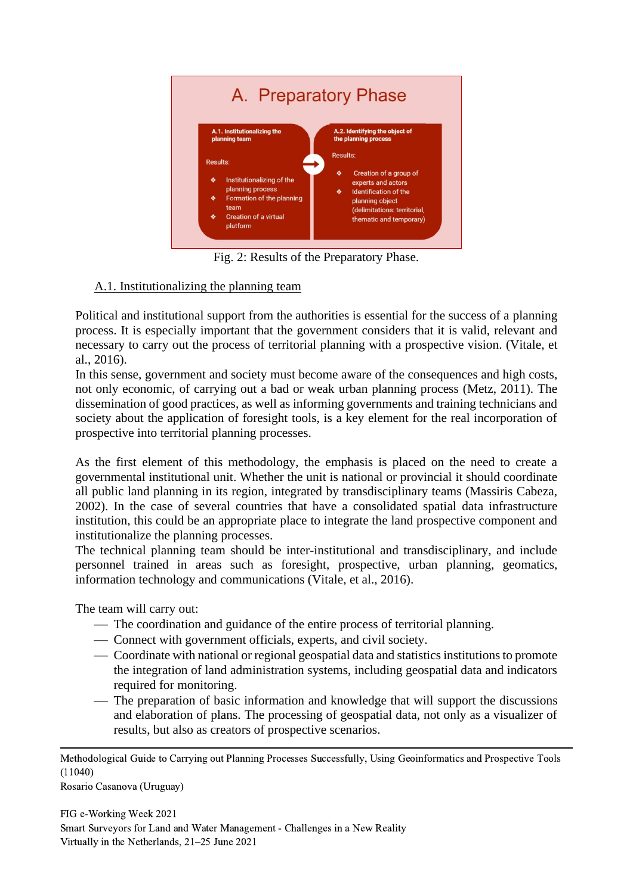

Fig. 2: Results of the Preparatory Phase.

# A.1. Institutionalizing the planning team

Political and institutional support from the authorities is essential for the success of a planning process. It is especially important that the government considers that it is valid, relevant and necessary to carry out the process of territorial planning with a prospective vision. (Vitale, et al., 2016).

In this sense, government and society must become aware of the consequences and high costs, not only economic, of carrying out a bad or weak urban planning process (Metz, 2011). The dissemination of good practices, as well as informing governments and training technicians and society about the application of foresight tools, is a key element for the real incorporation of prospective into territorial planning processes.

As the first element of this methodology, the emphasis is placed on the need to create a governmental institutional unit. Whether the unit is national or provincial it should coordinate all public land planning in its region, integrated by transdisciplinary teams (Massiris Cabeza, 2002). In the case of several countries that have a consolidated spatial data infrastructure institution, this could be an appropriate place to integrate the land prospective component and institutionalize the planning processes.

The technical planning team should be inter-institutional and transdisciplinary, and include personnel trained in areas such as foresight, prospective, urban planning, geomatics, information technology and communications (Vitale, et al., 2016).

The team will carry out:

- The coordination and guidance of the entire process of territorial planning.
- ⎯ Connect with government officials, experts, and civil society.
- Coordinate with national or regional geospatial data and statistics institutions to promote the integration of land administration systems, including geospatial data and indicators required for monitoring.
- The preparation of basic information and knowledge that will support the discussions and elaboration of plans. The processing of geospatial data, not only as a visualizer of results, but also as creators of prospective scenarios.

Methodological Guide to Carrying out Planning Processes Successfully, Using Geoinformatics and Prospective Tools (11040)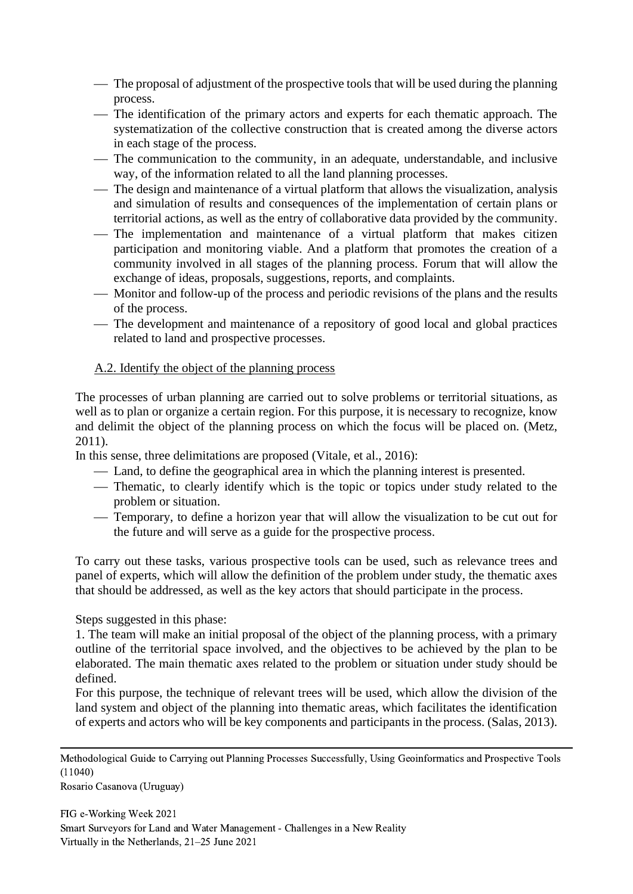- The proposal of adjustment of the prospective tools that will be used during the planning process.
- The identification of the primary actors and experts for each thematic approach. The systematization of the collective construction that is created among the diverse actors in each stage of the process.
- The communication to the community, in an adequate, understandable, and inclusive way, of the information related to all the land planning processes.
- The design and maintenance of a virtual platform that allows the visualization, analysis and simulation of results and consequences of the implementation of certain plans or territorial actions, as well as the entry of collaborative data provided by the community.
- The implementation and maintenance of a virtual platform that makes citizen participation and monitoring viable. And a platform that promotes the creation of a community involved in all stages of the planning process. Forum that will allow the exchange of ideas, proposals, suggestions, reports, and complaints.
- Monitor and follow-up of the process and periodic revisions of the plans and the results of the process.
- The development and maintenance of a repository of good local and global practices related to land and prospective processes.

### A.2. Identify the object of the planning process

The processes of urban planning are carried out to solve problems or territorial situations, as well as to plan or organize a certain region. For this purpose, it is necessary to recognize, know and delimit the object of the planning process on which the focus will be placed on. (Metz, 2011).

In this sense, three delimitations are proposed (Vitale, et al., 2016):

- Land, to define the geographical area in which the planning interest is presented.
- Thematic, to clearly identify which is the topic or topics under study related to the problem or situation.
- ⎯ Temporary, to define a horizon year that will allow the visualization to be cut out for the future and will serve as a guide for the prospective process.

To carry out these tasks, various prospective tools can be used, such as relevance trees and panel of experts, which will allow the definition of the problem under study, the thematic axes that should be addressed, as well as the key actors that should participate in the process.

Steps suggested in this phase:

1. The team will make an initial proposal of the object of the planning process, with a primary outline of the territorial space involved, and the objectives to be achieved by the plan to be elaborated. The main thematic axes related to the problem or situation under study should be defined.

For this purpose, the technique of relevant trees will be used, which allow the division of the land system and object of the planning into thematic areas, which facilitates the identification of experts and actors who will be key components and participants in the process. (Salas, 2013).

Methodological Guide to Carrying out Planning Processes Successfully, Using Geoinformatics and Prospective Tools (11040)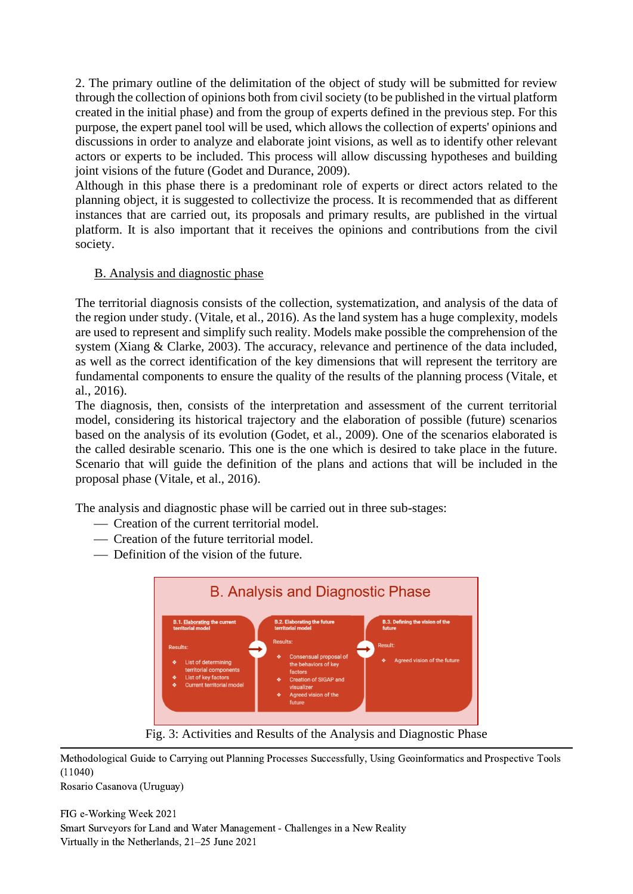2. The primary outline of the delimitation of the object of study will be submitted for review through the collection of opinions both from civil society (to be published in the virtual platform created in the initial phase) and from the group of experts defined in the previous step. For this purpose, the expert panel tool will be used, which allows the collection of experts' opinions and discussions in order to analyze and elaborate joint visions, as well as to identify other relevant actors or experts to be included. This process will allow discussing hypotheses and building joint visions of the future (Godet and Durance, 2009).

Although in this phase there is a predominant role of experts or direct actors related to the planning object, it is suggested to collectivize the process. It is recommended that as different instances that are carried out, its proposals and primary results, are published in the virtual platform. It is also important that it receives the opinions and contributions from the civil society.

### B. Analysis and diagnostic phase

The territorial diagnosis consists of the collection, systematization, and analysis of the data of the region under study. (Vitale, et al., 2016). As the land system has a huge complexity, models are used to represent and simplify such reality. Models make possible the comprehension of the system (Xiang & Clarke, 2003). The accuracy, relevance and pertinence of the data included, as well as the correct identification of the key dimensions that will represent the territory are fundamental components to ensure the quality of the results of the planning process (Vitale, et al., 2016).

The diagnosis, then, consists of the interpretation and assessment of the current territorial model, considering its historical trajectory and the elaboration of possible (future) scenarios based on the analysis of its evolution (Godet, et al., 2009). One of the scenarios elaborated is the called desirable scenario. This one is the one which is desired to take place in the future. Scenario that will guide the definition of the plans and actions that will be included in the proposal phase (Vitale, et al., 2016).

The analysis and diagnostic phase will be carried out in three sub-stages:

- Creation of the current territorial model.
- ⎯ Creation of the future territorial model.
- Definition of the vision of the future.



Fig. 3: Activities and Results of the Analysis and Diagnostic Phase

Methodological Guide to Carrying out Planning Processes Successfully, Using Geoinformatics and Prospective Tools (11040)

Rosario Casanova (Uruguay)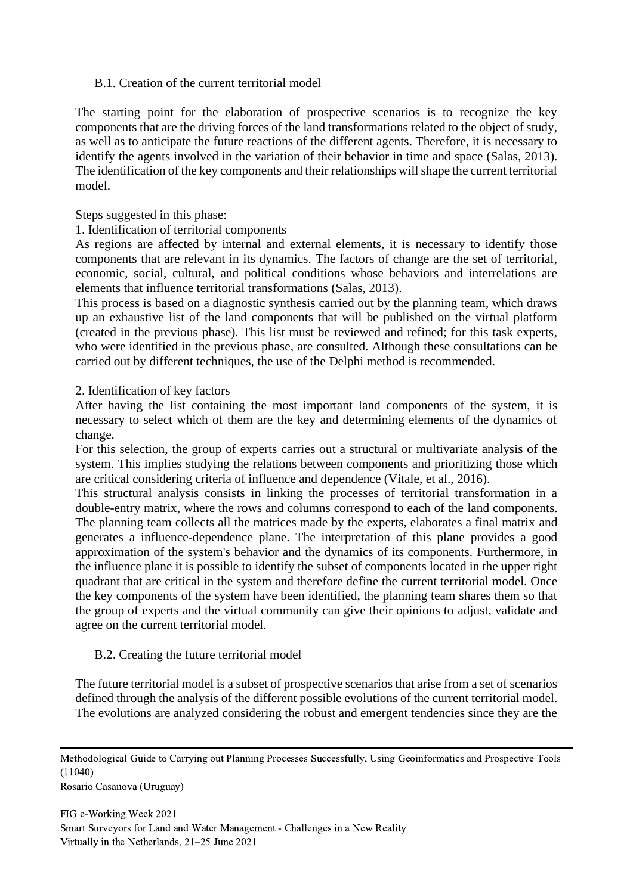### B.1. Creation of the current territorial model

The starting point for the elaboration of prospective scenarios is to recognize the key components that are the driving forces of the land transformations related to the object of study, as well as to anticipate the future reactions of the different agents. Therefore, it is necessary to identify the agents involved in the variation of their behavior in time and space (Salas, 2013). The identification of the key components and their relationships will shape the current territorial model.

Steps suggested in this phase:

#### 1. Identification of territorial components

As regions are affected by internal and external elements, it is necessary to identify those components that are relevant in its dynamics. The factors of change are the set of territorial, economic, social, cultural, and political conditions whose behaviors and interrelations are elements that influence territorial transformations (Salas, 2013).

This process is based on a diagnostic synthesis carried out by the planning team, which draws up an exhaustive list of the land components that will be published on the virtual platform (created in the previous phase). This list must be reviewed and refined; for this task experts, who were identified in the previous phase, are consulted. Although these consultations can be carried out by different techniques, the use of the Delphi method is recommended.

#### 2. Identification of key factors

After having the list containing the most important land components of the system, it is necessary to select which of them are the key and determining elements of the dynamics of change.

For this selection, the group of experts carries out a structural or multivariate analysis of the system. This implies studying the relations between components and prioritizing those which are critical considering criteria of influence and dependence (Vitale, et al., 2016).

This structural analysis consists in linking the processes of territorial transformation in a double-entry matrix, where the rows and columns correspond to each of the land components. The planning team collects all the matrices made by the experts, elaborates a final matrix and generates a influence-dependence plane. The interpretation of this plane provides a good approximation of the system's behavior and the dynamics of its components. Furthermore, in the influence plane it is possible to identify the subset of components located in the upper right quadrant that are critical in the system and therefore define the current territorial model. Once the key components of the system have been identified, the planning team shares them so that the group of experts and the virtual community can give their opinions to adjust, validate and agree on the current territorial model.

### B.2. Creating the future territorial model

The future territorial model is a subset of prospective scenarios that arise from a set of scenarios defined through the analysis of the different possible evolutions of the current territorial model. The evolutions are analyzed considering the robust and emergent tendencies since they are the

Methodological Guide to Carrying out Planning Processes Successfully, Using Geoinformatics and Prospective Tools (11040)

Rosario Casanova (Uruguay)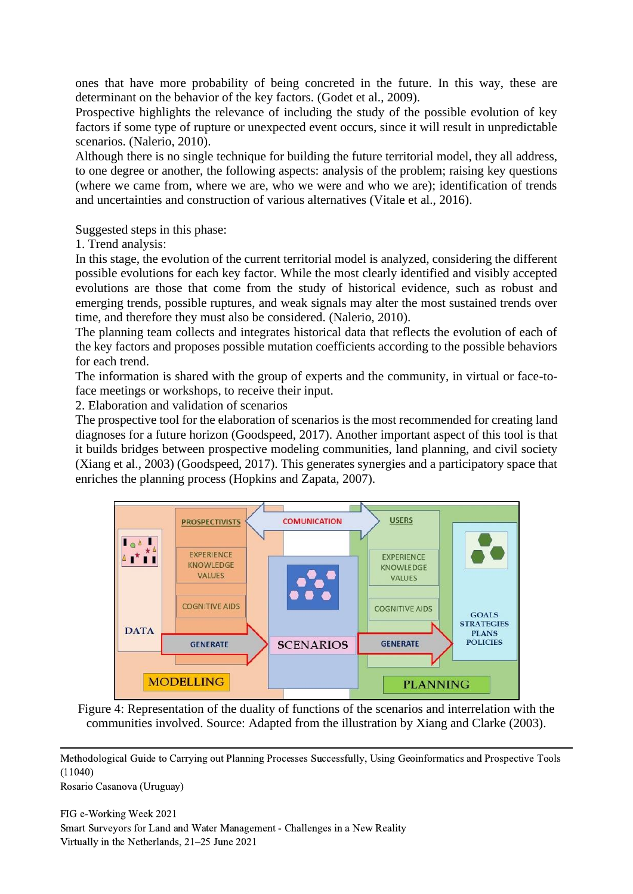ones that have more probability of being concreted in the future. In this way, these are determinant on the behavior of the key factors. (Godet et al., 2009).

Prospective highlights the relevance of including the study of the possible evolution of key factors if some type of rupture or unexpected event occurs, since it will result in unpredictable scenarios. (Nalerio, 2010).

Although there is no single technique for building the future territorial model, they all address, to one degree or another, the following aspects: analysis of the problem; raising key questions (where we came from, where we are, who we were and who we are); identification of trends and uncertainties and construction of various alternatives (Vitale et al., 2016).

Suggested steps in this phase:

1. Trend analysis:

In this stage, the evolution of the current territorial model is analyzed, considering the different possible evolutions for each key factor. While the most clearly identified and visibly accepted evolutions are those that come from the study of historical evidence, such as robust and emerging trends, possible ruptures, and weak signals may alter the most sustained trends over time, and therefore they must also be considered. (Nalerio, 2010).

The planning team collects and integrates historical data that reflects the evolution of each of the key factors and proposes possible mutation coefficients according to the possible behaviors for each trend.

The information is shared with the group of experts and the community, in virtual or face-toface meetings or workshops, to receive their input.

2. Elaboration and validation of scenarios

The prospective tool for the elaboration of scenarios is the most recommended for creating land diagnoses for a future horizon (Goodspeed, 2017). Another important aspect of this tool is that it builds bridges between prospective modeling communities, land planning, and civil society (Xiang et al., 2003) (Goodspeed, 2017). This generates synergies and a participatory space that enriches the planning process (Hopkins and Zapata, 2007).



Figure 4: Representation of the duality of functions of the scenarios and interrelation with the communities involved. Source: Adapted from the illustration by Xiang and Clarke (2003).

Methodological Guide to Carrying out Planning Processes Successfully, Using Geoinformatics and Prospective Tools (11040)

Rosario Casanova (Uruguay)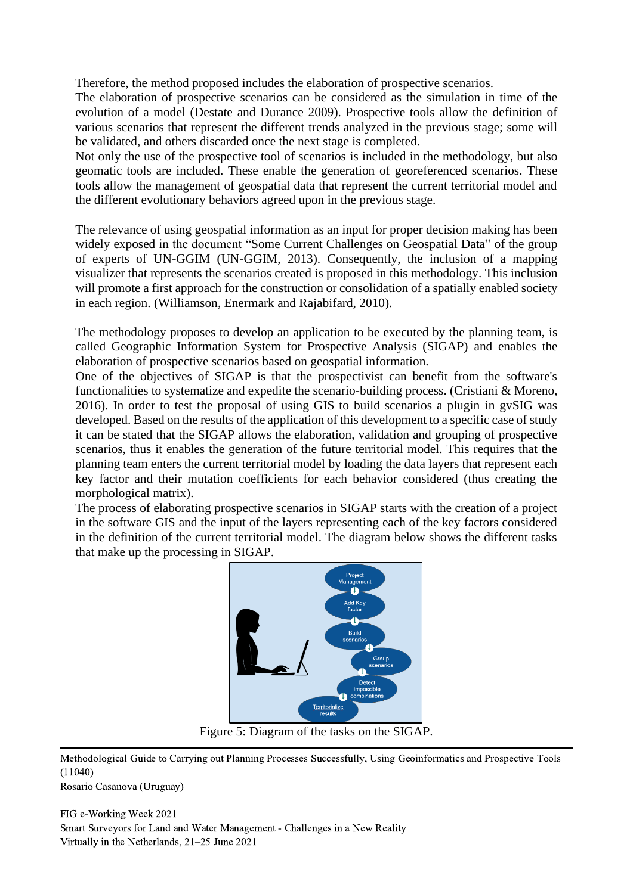Therefore, the method proposed includes the elaboration of prospective scenarios.

The elaboration of prospective scenarios can be considered as the simulation in time of the evolution of a model (Destate and Durance 2009). Prospective tools allow the definition of various scenarios that represent the different trends analyzed in the previous stage; some will be validated, and others discarded once the next stage is completed.

Not only the use of the prospective tool of scenarios is included in the methodology, but also geomatic tools are included. These enable the generation of georeferenced scenarios. These tools allow the management of geospatial data that represent the current territorial model and the different evolutionary behaviors agreed upon in the previous stage.

The relevance of using geospatial information as an input for proper decision making has been widely exposed in the document "Some Current Challenges on Geospatial Data" of the group of experts of UN-GGIM (UN-GGIM, 2013). Consequently, the inclusion of a mapping visualizer that represents the scenarios created is proposed in this methodology. This inclusion will promote a first approach for the construction or consolidation of a spatially enabled society in each region. (Williamson, Enermark and Rajabifard, 2010).

The methodology proposes to develop an application to be executed by the planning team, is called Geographic Information System for Prospective Analysis (SIGAP) and enables the elaboration of prospective scenarios based on geospatial information.

One of the objectives of SIGAP is that the prospectivist can benefit from the software's functionalities to systematize and expedite the scenario-building process. (Cristiani & Moreno, 2016). In order to test the proposal of using GIS to build scenarios a plugin in gvSIG was developed. Based on the results of the application of this development to a specific case of study it can be stated that the SIGAP allows the elaboration, validation and grouping of prospective scenarios, thus it enables the generation of the future territorial model. This requires that the planning team enters the current territorial model by loading the data layers that represent each key factor and their mutation coefficients for each behavior considered (thus creating the morphological matrix).

The process of elaborating prospective scenarios in SIGAP starts with the creation of a project in the software GIS and the input of the layers representing each of the key factors considered in the definition of the current territorial model. The diagram below shows the different tasks that make up the processing in SIGAP.



Figure 5: Diagram of the tasks on the SIGAP.

Methodological Guide to Carrying out Planning Processes Successfully, Using Geoinformatics and Prospective Tools (11040)

Rosario Casanova (Uruguay)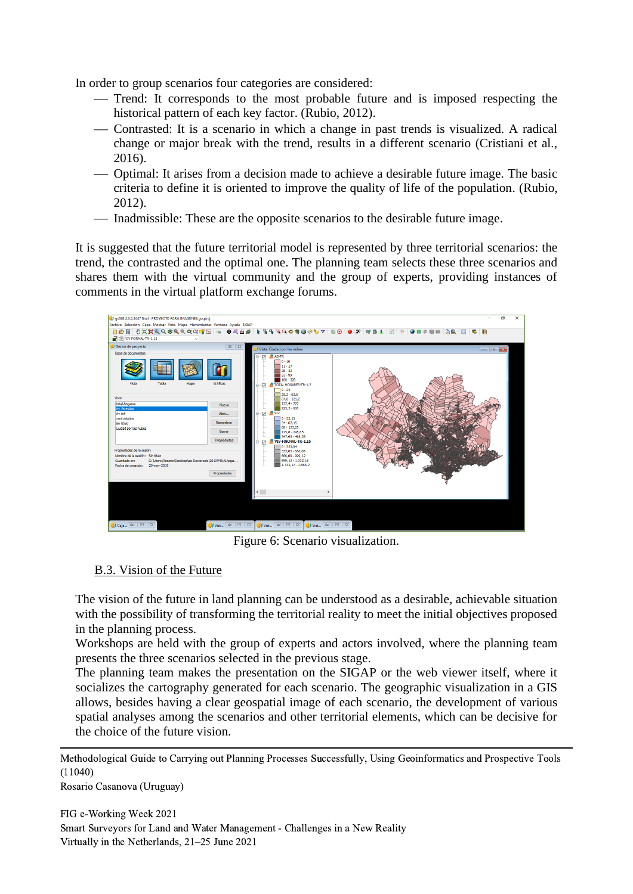In order to group scenarios four categories are considered:

- Trend: It corresponds to the most probable future and is imposed respecting the historical pattern of each key factor. (Rubio, 2012).
- ⎯ Contrasted: It is a scenario in which a change in past trends is visualized. A radical change or major break with the trend, results in a different scenario (Cristiani et al., 2016).
- ⎯ Optimal: It arises from a decision made to achieve a desirable future image. The basic criteria to define it is oriented to improve the quality of life of the population. (Rubio, 2012).
- Inadmissible: These are the opposite scenarios to the desirable future image.

It is suggested that the future territorial model is represented by three territorial scenarios: the trend, the contrasted and the optimal one. The planning team selects these three scenarios and shares them with the virtual community and the group of experts, providing instances of comments in the virtual platform exchange forums.



Figure 6: Scenario visualization.

## B.3. Vision of the Future

The vision of the future in land planning can be understood as a desirable, achievable situation with the possibility of transforming the territorial reality to meet the initial objectives proposed in the planning process.

Workshops are held with the group of experts and actors involved, where the planning team presents the three scenarios selected in the previous stage.

The planning team makes the presentation on the SIGAP or the web viewer itself, where it socializes the cartography generated for each scenario. The geographic visualization in a GIS allows, besides having a clear geospatial image of each scenario, the development of various spatial analyses among the scenarios and other territorial elements, which can be decisive for the choice of the future vision.

Methodological Guide to Carrying out Planning Processes Successfully, Using Geoinformatics and Prospective Tools (11040)

Rosario Casanova (Uruguay)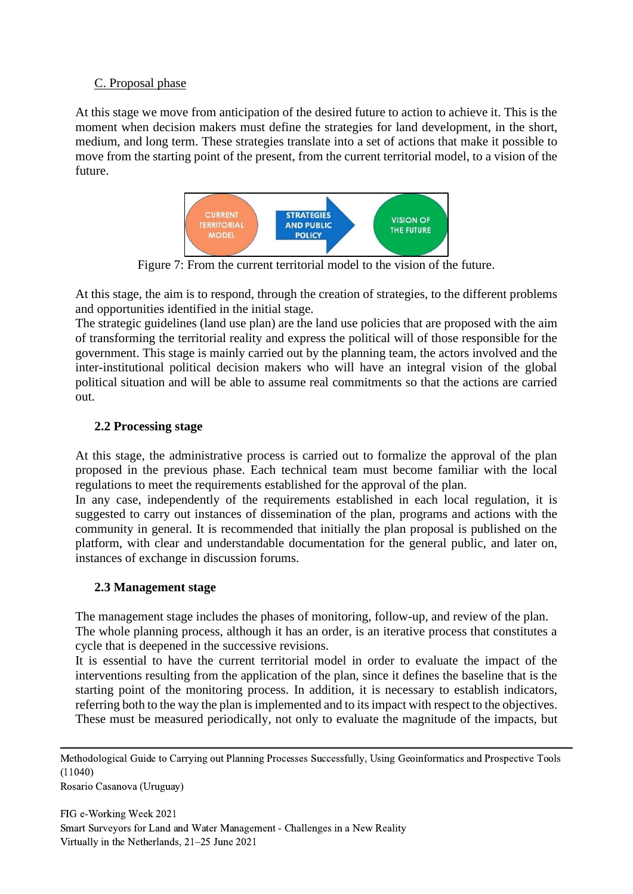## C. Proposal phase

At this stage we move from anticipation of the desired future to action to achieve it. This is the moment when decision makers must define the strategies for land development, in the short, medium, and long term. These strategies translate into a set of actions that make it possible to move from the starting point of the present, from the current territorial model, to a vision of the future.



Figure 7: From the current territorial model to the vision of the future.

At this stage, the aim is to respond, through the creation of strategies, to the different problems and opportunities identified in the initial stage.

The strategic guidelines (land use plan) are the land use policies that are proposed with the aim of transforming the territorial reality and express the political will of those responsible for the government. This stage is mainly carried out by the planning team, the actors involved and the inter-institutional political decision makers who will have an integral vision of the global political situation and will be able to assume real commitments so that the actions are carried out.

## **2.2 Processing stage**

At this stage, the administrative process is carried out to formalize the approval of the plan proposed in the previous phase. Each technical team must become familiar with the local regulations to meet the requirements established for the approval of the plan.

In any case, independently of the requirements established in each local regulation, it is suggested to carry out instances of dissemination of the plan, programs and actions with the community in general. It is recommended that initially the plan proposal is published on the platform, with clear and understandable documentation for the general public, and later on, instances of exchange in discussion forums.

### **2.3 Management stage**

The management stage includes the phases of monitoring, follow-up, and review of the plan. The whole planning process, although it has an order, is an iterative process that constitutes a cycle that is deepened in the successive revisions.

It is essential to have the current territorial model in order to evaluate the impact of the interventions resulting from the application of the plan, since it defines the baseline that is the starting point of the monitoring process. In addition, it is necessary to establish indicators, referring both to the way the plan is implemented and to its impact with respect to the objectives. These must be measured periodically, not only to evaluate the magnitude of the impacts, but

Rosario Casanova (Uruguay)

Methodological Guide to Carrying out Planning Processes Successfully, Using Geoinformatics and Prospective Tools (11040)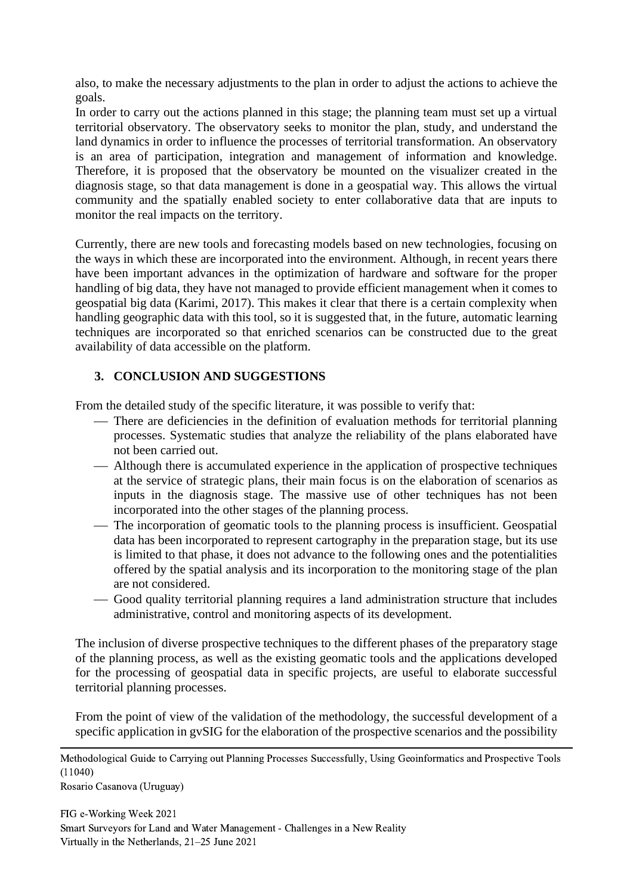also, to make the necessary adjustments to the plan in order to adjust the actions to achieve the goals.

In order to carry out the actions planned in this stage; the planning team must set up a virtual territorial observatory. The observatory seeks to monitor the plan, study, and understand the land dynamics in order to influence the processes of territorial transformation. An observatory is an area of participation, integration and management of information and knowledge. Therefore, it is proposed that the observatory be mounted on the visualizer created in the diagnosis stage, so that data management is done in a geospatial way. This allows the virtual community and the spatially enabled society to enter collaborative data that are inputs to monitor the real impacts on the territory.

Currently, there are new tools and forecasting models based on new technologies, focusing on the ways in which these are incorporated into the environment. Although, in recent years there have been important advances in the optimization of hardware and software for the proper handling of big data, they have not managed to provide efficient management when it comes to geospatial big data (Karimi, 2017). This makes it clear that there is a certain complexity when handling geographic data with this tool, so it is suggested that, in the future, automatic learning techniques are incorporated so that enriched scenarios can be constructed due to the great availability of data accessible on the platform.

## **3. CONCLUSION AND SUGGESTIONS**

From the detailed study of the specific literature, it was possible to verify that:

- There are deficiencies in the definition of evaluation methods for territorial planning processes. Systematic studies that analyze the reliability of the plans elaborated have not been carried out.
- ⎯ Although there is accumulated experience in the application of prospective techniques at the service of strategic plans, their main focus is on the elaboration of scenarios as inputs in the diagnosis stage. The massive use of other techniques has not been incorporated into the other stages of the planning process.
- The incorporation of geomatic tools to the planning process is insufficient. Geospatial data has been incorporated to represent cartography in the preparation stage, but its use is limited to that phase, it does not advance to the following ones and the potentialities offered by the spatial analysis and its incorporation to the monitoring stage of the plan are not considered.
- ⎯ Good quality territorial planning requires a land administration structure that includes administrative, control and monitoring aspects of its development.

The inclusion of diverse prospective techniques to the different phases of the preparatory stage of the planning process, as well as the existing geomatic tools and the applications developed for the processing of geospatial data in specific projects, are useful to elaborate successful territorial planning processes.

From the point of view of the validation of the methodology, the successful development of a specific application in gvSIG for the elaboration of the prospective scenarios and the possibility

Methodological Guide to Carrying out Planning Processes Successfully, Using Geoinformatics and Prospective Tools (11040)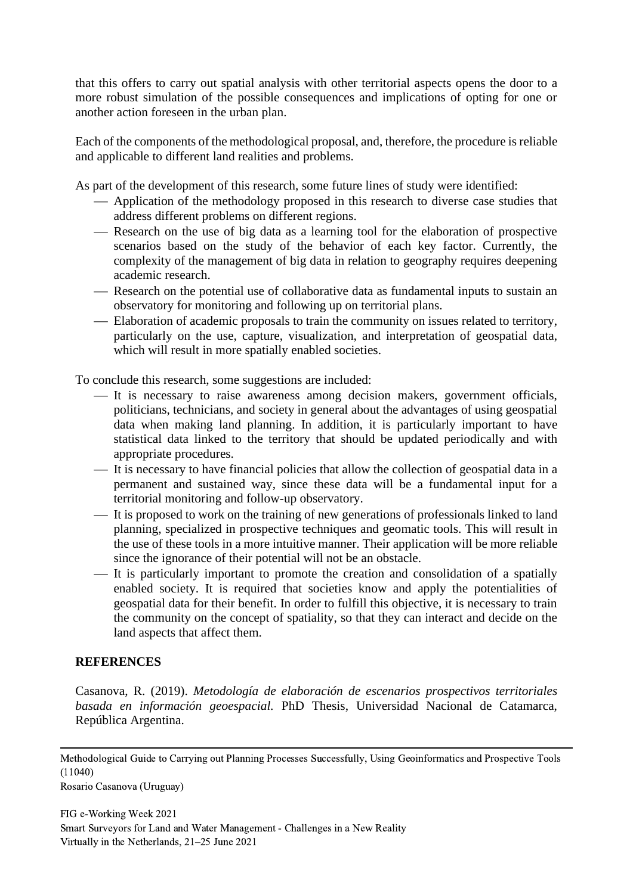that this offers to carry out spatial analysis with other territorial aspects opens the door to a more robust simulation of the possible consequences and implications of opting for one or another action foreseen in the urban plan.

Each of the components of the methodological proposal, and, therefore, the procedure is reliable and applicable to different land realities and problems.

As part of the development of this research, some future lines of study were identified:

- Application of the methodology proposed in this research to diverse case studies that address different problems on different regions.
- Research on the use of big data as a learning tool for the elaboration of prospective scenarios based on the study of the behavior of each key factor. Currently, the complexity of the management of big data in relation to geography requires deepening academic research.
- Research on the potential use of collaborative data as fundamental inputs to sustain an observatory for monitoring and following up on territorial plans.
- Elaboration of academic proposals to train the community on issues related to territory, particularly on the use, capture, visualization, and interpretation of geospatial data, which will result in more spatially enabled societies.

To conclude this research, some suggestions are included:

- ⎯ It is necessary to raise awareness among decision makers, government officials, politicians, technicians, and society in general about the advantages of using geospatial data when making land planning. In addition, it is particularly important to have statistical data linked to the territory that should be updated periodically and with appropriate procedures.
- It is necessary to have financial policies that allow the collection of geospatial data in a permanent and sustained way, since these data will be a fundamental input for a territorial monitoring and follow-up observatory.
- ⎯ It is proposed to work on the training of new generations of professionals linked to land planning, specialized in prospective techniques and geomatic tools. This will result in the use of these tools in a more intuitive manner. Their application will be more reliable since the ignorance of their potential will not be an obstacle.
- It is particularly important to promote the creation and consolidation of a spatially enabled society. It is required that societies know and apply the potentialities of geospatial data for their benefit. In order to fulfill this objective, it is necessary to train the community on the concept of spatiality, so that they can interact and decide on the land aspects that affect them.

#### **REFERENCES**

Casanova, R. (2019). *Metodología de elaboración de escenarios prospectivos territoriales basada en información geoespacial.* PhD Thesis, Universidad Nacional de Catamarca, República Argentina.

Methodological Guide to Carrying out Planning Processes Successfully, Using Geoinformatics and Prospective Tools (11040)

Rosario Casanova (Uruguay)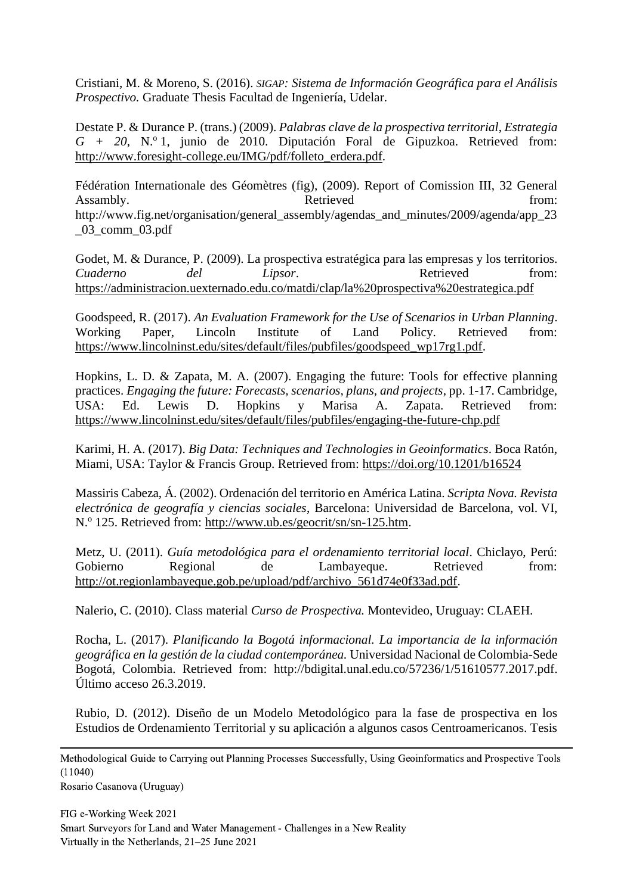Cristiani, M. & Moreno, S. (2016). *SIGAP: Sistema de Información Geográfica para el Análisis Prospectivo.* Graduate Thesis Facultad de Ingeniería, Udelar.

Destate P. & Durance P. (trans.) (2009). *Palabras clave de la prospectiva territorial*, *Estrategia*   $G + 20$ , N.º 1, junio de 2010. Diputación Foral de Gipuzkoa. Retrieved from: [http://www.foresight-college.eu/IMG/pdf/folleto\\_erdera.pdf.](http://www.foresight-college.eu/IMG/pdf/folleto_erdera.pdf)

Fédération Internationale des Géomètres (fig), (2009). Report of Comission III, 32 General Assambly. **Retrieved has a from: Retrieved has a from: h** [http://www.fig.net/organisation/general\\_assembly/agendas\\_and\\_minutes/2009/agenda/app\\_23](http://www.fig.net/organisation/general_assembly/agendas_and_minutes/2009/agenda/app_23_03_comm_03.pdf) [\\_03\\_comm\\_03.pdf](http://www.fig.net/organisation/general_assembly/agendas_and_minutes/2009/agenda/app_23_03_comm_03.pdf)

Godet, M. & Durance, P. (2009). La prospectiva estratégica para las empresas y los territorios. *Cuaderno del Lipsor*. Retrieved from: <https://administracion.uexternado.edu.co/matdi/clap/la%20prospectiva%20estrategica.pdf>

Goodspeed, R. (2017). *An Evaluation Framework for the Use of Scenarios in Urban Planning*. Working Paper, Lincoln Institute of Land Policy*.* Retrieved from: [https://www.lincolninst.edu/sites/default/files/pubfiles/goodspeed\\_wp17rg1.pdf.](https://www.lincolninst.edu/sites/default/files/pubfiles/goodspeed_wp17rg1.pdf)

Hopkins, L. D. & Zapata, M. A. (2007). Engaging the future: Tools for effective planning practices. *Engaging the future: Forecasts, scenarios, plans, and projects*, pp. 1-17. Cambridge, USA: Ed. Lewis D. Hopkins y Marisa A. Zapata. Retrieved from: <https://www.lincolninst.edu/sites/default/files/pubfiles/engaging-the-future-chp.pdf>

Karimi, H. A. (2017). *Big Data: Techniques and Technologies in Geoinformatics*. Boca Ratón, Miami, USA: Taylor & Francis Group. Retrieved from: <https://doi.org/10.1201/b16524>

Massiris Cabeza, Á. (2002). Ordenación del territorio en América Latina. *Scripta Nova. Revista electrónica de geografía y ciencias sociales*, Barcelona: Universidad de Barcelona, vol. VI, N.<sup>o</sup> 125. Retrieved from: [http://www.ub.es/geocrit/sn/sn-125.htm.](http://www.ub.es/geocrit/sn/sn-125.htm)

Metz, U. (2011). *Guía metodológica para el ordenamiento territorial local*. Chiclayo, Perú: Gobierno Regional de Lambayeque. Retrieved from: [http://ot.regionlambayeque.gob.pe/upload/pdf/archivo\\_561d74e0f33ad.pdf.](http://ot.regionlambayeque.gob.pe/upload/pdf/archivo_561d74e0f33ad.pdf)

Nalerio, C. (2010). Class material *Curso de Prospectiva.* Montevideo, Uruguay: CLAEH.

Rocha, L. (2017). *Planificando la Bogotá informacional. La importancia de la información geográfica en la gestión de la ciudad contemporánea.* Universidad Nacional de Colombia-Sede Bogotá, Colombia. Retrieved from: [http://bdigital.unal.edu.co/57236/1/51610577.2017.pdf.](http://bdigital.unal.edu.co/57236/1/51610577.2017.pdf) Último acceso 26.3.2019.

Rubio, D. (2012). Diseño de un Modelo Metodológico para la fase de prospectiva en los Estudios de Ordenamiento Territorial y su aplicación a algunos casos Centroamericanos. Tesis

Methodological Guide to Carrying out Planning Processes Successfully, Using Geoinformatics and Prospective Tools (11040)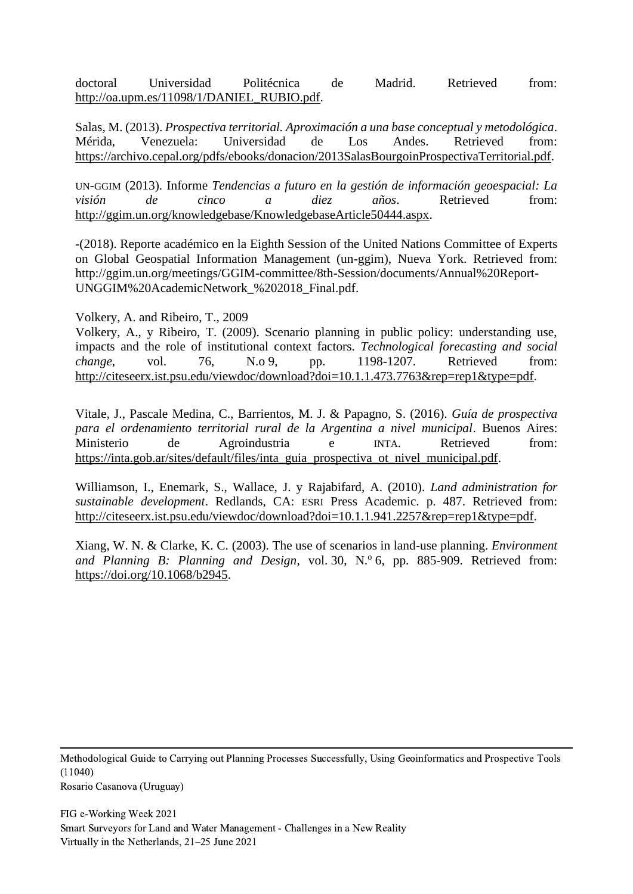doctoral Universidad Politécnica de Madrid. Retrieved from: [http://oa.upm.es/11098/1/DANIEL\\_RUBIO.pdf.](http://oa.upm.es/11098/1/DANIEL_RUBIO.pdf)

Salas, M. (2013). *Prospectiva territorial. Aproximación a una base conceptual y metodológica*. Mérida, Venezuela: Universidad de Los Andes. Retrieved from: [https://archivo.cepal.org/pdfs/ebooks/donacion/2013SalasBourgoinProspectivaTerritorial.pdf.](https://archivo.cepal.org/pdfs/ebooks/donacion/2013SalasBourgoinProspectivaTerritorial.pdf)

UN-GGIM (2013). Informe *Tendencias a futuro en la gestión de información geoespacial: La visión de cinco a diez años*. Retrieved from: [http://ggim.un.org/knowledgebase/KnowledgebaseArticle50444.aspx.](http://ggim.un.org/knowledgebase/KnowledgebaseArticle50444.aspx)

-(2018). Reporte académico en la Eighth Session of the United Nations Committee of Experts on Global Geospatial Information Management (un-ggim), Nueva York. Retrieved from: [http://ggim.un.org/meetings/GGIM-committee/8th-Session/documents/Annual%20Report-](http://ggim.un.org/meetings/GGIM-committee/8th-Session/documents/Annual%20Report-UNGGIM%20AcademicNetwork_%202018_Final.pdf)[UNGGIM%20AcademicNetwork\\_%202018\\_Final.pdf.](http://ggim.un.org/meetings/GGIM-committee/8th-Session/documents/Annual%20Report-UNGGIM%20AcademicNetwork_%202018_Final.pdf)

Volkery, A. and Ribeiro, T., 2009

Volkery, A., y Ribeiro, T. (2009). Scenario planning in public policy: understanding use, impacts and the role of institutional context factors. *Technological forecasting and social change*, vol. 76, N.o 9, pp. 1198-1207. Retrieved from: [http://citeseerx.ist.psu.edu/viewdoc/download?doi=10.1.1.473.7763&rep=rep1&type=pdf.](http://citeseerx.ist.psu.edu/viewdoc/download?doi=10.1.1.473.7763&rep=rep1&type=pdf)

Vitale, J., Pascale Medina, C., Barrientos, M. J. & Papagno, S. (2016). *Guía de prospectiva para el ordenamiento territorial rural de la Argentina a nivel municipal*. Buenos Aires: Ministerio de Agroindustria e INTA. Retrieved from: [https://inta.gob.ar/sites/default/files/inta\\_guia\\_prospectiva\\_ot\\_nivel\\_municipal.pdf.](https://inta.gob.ar/sites/default/files/inta_guia_prospectiva_ot_nivel_municipal.pdf)

Williamson, I., Enemark, S., Wallace, J. y Rajabifard, A. (2010). *Land administration for sustainable development*. Redlands, CA: ESRI Press Academic. p. 487. Retrieved from: [http://citeseerx.ist.psu.edu/viewdoc/download?doi=10.1.1.941.2257&rep=rep1&type=pdf.](http://citeseerx.ist.psu.edu/viewdoc/download?doi=10.1.1.941.2257&rep=rep1&type=pdf)

Xiang, W. N. & Clarke, K. C. (2003). The use of scenarios in land-use planning. *Environment*  and Planning B: Planning and Design, vol. 30, N.º 6, pp. 885-909. Retrieved from: [https://doi.org/10.1068/b2945.](https://doi.org/10.1068%2Fb2945)

Methodological Guide to Carrying out Planning Processes Successfully, Using Geoinformatics and Prospective Tools (11040) Rosario Casanova (Uruguay)